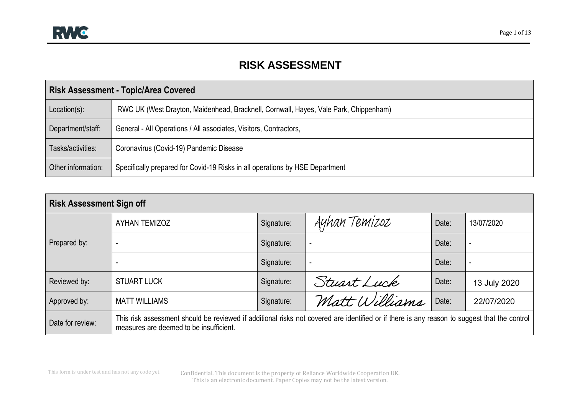## **RISK ASSESSMENT**

|                    | <b>Risk Assessment - Topic/Area Covered</b>                                          |
|--------------------|--------------------------------------------------------------------------------------|
| Location(s):       | RWC UK (West Drayton, Maidenhead, Bracknell, Cornwall, Hayes, Vale Park, Chippenham) |
| Department/staff:  | General - All Operations / All associates, Visitors, Contractors,                    |
| Tasks/activities:  | Coronavirus (Covid-19) Pandemic Disease                                              |
| Other information: | Specifically prepared for Covid-19 Risks in all operations by HSE Department         |

| <b>Risk Assessment Sign off</b> |                                                                                                                                                                                         |            |                          |       |              |
|---------------------------------|-----------------------------------------------------------------------------------------------------------------------------------------------------------------------------------------|------------|--------------------------|-------|--------------|
|                                 | <b>AYHAN TEMIZOZ</b>                                                                                                                                                                    | Signature: | Ayhan Temizoz            | Date: | 13/07/2020   |
| Prepared by:                    | $\overline{\phantom{a}}$                                                                                                                                                                | Signature: | $\overline{\phantom{a}}$ | Date: | -            |
|                                 |                                                                                                                                                                                         | Signature: | $\overline{\phantom{a}}$ | Date: |              |
| Reviewed by:                    | <b>STUART LUCK</b>                                                                                                                                                                      | Signature: | Stuart Luck              | Date: | 13 July 2020 |
| Approved by:                    | <b>MATT WILLIAMS</b>                                                                                                                                                                    | Signature: | Matt Williams            | Date: | 22/07/2020   |
| Date for review:                | This risk assessment should be reviewed if additional risks not covered are identified or if there is any reason to suggest that the control<br>measures are deemed to be insufficient. |            |                          |       |              |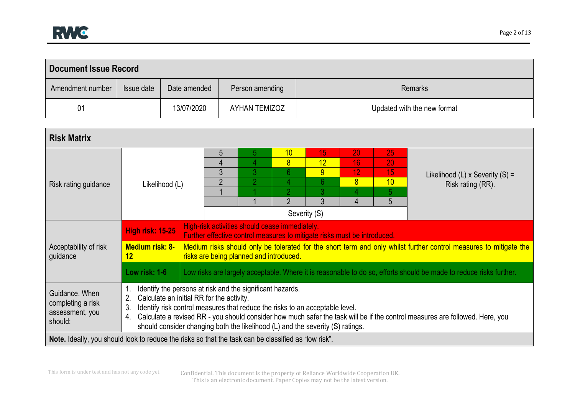| <b>Document Issue Record</b> |            |              |                 |                             |
|------------------------------|------------|--------------|-----------------|-----------------------------|
| Amendment number             | Issue date | Date amended | Person amending | <b>Remarks</b>              |
| 01                           |            | 13/07/2020   | AYHAN TEMIZOZ   | Updated with the new format |

| <b>Risk Matrix</b>                                                                                   |                                                                                                                                                                                                                                                                                            |                               |                                                |                                                                              |                                                                          |                                                         |                                 |                                                                                                                              |
|------------------------------------------------------------------------------------------------------|--------------------------------------------------------------------------------------------------------------------------------------------------------------------------------------------------------------------------------------------------------------------------------------------|-------------------------------|------------------------------------------------|------------------------------------------------------------------------------|--------------------------------------------------------------------------|---------------------------------------------------------|---------------------------------|------------------------------------------------------------------------------------------------------------------------------|
| Risk rating guidance                                                                                 | Likelihood (L)                                                                                                                                                                                                                                                                             | 5<br>4<br>3<br>$\overline{2}$ | b<br>4<br>3<br>$\overline{2}$                  | 10<br>$\overline{8}$<br>6<br>$\mathcal{D}$<br>$\mathfrak{p}$<br>Severity (S) | 15<br>12<br>9<br>$6\phantom{1}$<br> 3 <br>3                              | 20<br>16<br>12 <sup>2</sup><br>8<br>4<br>$\overline{4}$ | 25<br>20<br>15<br>10<br>5.<br>5 | Likelihood (L) x Severity $(S)$ =<br>Risk rating (RR).                                                                       |
|                                                                                                      | <b>High risk: 15-25</b>                                                                                                                                                                                                                                                                    |                               | High-risk activities should cease immediately. |                                                                              | Further effective control measures to mitigate risks must be introduced. |                                                         |                                 |                                                                                                                              |
| Acceptability of risk<br>guidance                                                                    | <b>Medium risk: 8-</b><br>$12 \,$                                                                                                                                                                                                                                                          |                               | risks are being planned and introduced.        |                                                                              |                                                                          |                                                         |                                 | Medium risks should only be tolerated for the short term and only whilst further control measures to mitigate the            |
|                                                                                                      | Low risk: 1-6                                                                                                                                                                                                                                                                              |                               |                                                |                                                                              |                                                                          |                                                         |                                 | Low risks are largely acceptable. Where it is reasonable to do so, efforts should be made to reduce risks further.           |
| Guidance, When<br>completing a risk<br>assessment, you<br>should:                                    | Identify the persons at risk and the significant hazards.<br>Calculate an initial RR for the activity.<br>2.<br>Identify risk control measures that reduce the risks to an acceptable level.<br>3.<br>4.<br>should consider changing both the likelihood (L) and the severity (S) ratings. |                               |                                                |                                                                              |                                                                          |                                                         |                                 | Calculate a revised RR - you should consider how much safer the task will be if the control measures are followed. Here, you |
| Note. Ideally, you should look to reduce the risks so that the task can be classified as "low risk". |                                                                                                                                                                                                                                                                                            |                               |                                                |                                                                              |                                                                          |                                                         |                                 |                                                                                                                              |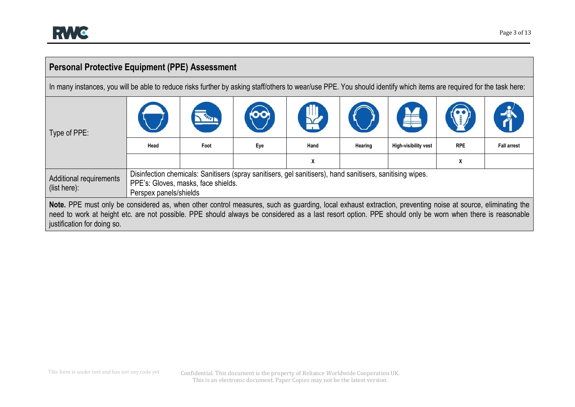## **Personal Protective Equipment (PPE) Assessment**

In many instances, you will be able to reduce risks further by asking staff/others to wear/use PPE. You should identify which items are required for the task here:

| Type of PPE:                                                                                                                                                                                                                                                                                                                                         |                        |                                     |     |                                                                                                           |         |                      |            |                    |
|------------------------------------------------------------------------------------------------------------------------------------------------------------------------------------------------------------------------------------------------------------------------------------------------------------------------------------------------------|------------------------|-------------------------------------|-----|-----------------------------------------------------------------------------------------------------------|---------|----------------------|------------|--------------------|
|                                                                                                                                                                                                                                                                                                                                                      | Head                   | Foot                                | Eye | Hand                                                                                                      | Hearing | High-visibility vest | <b>RPE</b> | <b>Fall arrest</b> |
|                                                                                                                                                                                                                                                                                                                                                      |                        |                                     |     | X                                                                                                         |         |                      | X          |                    |
| Additional requirements<br>(list here):                                                                                                                                                                                                                                                                                                              | Perspex panels/shields | PPE's: Gloves, masks, face shields. |     | Disinfection chemicals: Sanitisers (spray sanitisers, gel sanitisers), hand sanitisers, sanitising wipes. |         |                      |            |                    |
| Note. PPE must only be considered as, when other control measures, such as guarding, local exhaust extraction, preventing noise at source, eliminating the<br>need to work at height etc. are not possible. PPE should always be considered as a last resort option. PPE should only be worn when there is reasonable<br>justification for doing so. |                        |                                     |     |                                                                                                           |         |                      |            |                    |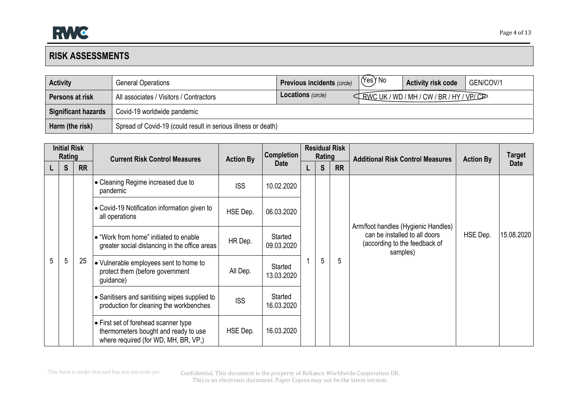## **RISK ASSESSMENTS**

| <b>Activity</b>            | <b>General Operations</b>                                     | <b>Previous incidents (circle)</b> | (Yes) No | <b>Activity risk code</b>    | GEN/COV/1 |
|----------------------------|---------------------------------------------------------------|------------------------------------|----------|------------------------------|-----------|
| Persons at risk            | All associates / Visitors / Contractors                       | <b>Locations</b> (circle)          |          | ERWC UK/WD/MH/CW/BR/HY/VPLCP |           |
| <b>Significant hazards</b> | Covid-19 worldwide pandemic                                   |                                    |          |                              |           |
| Harm (the risk)            | Spread of Covid-19 (could result in serious illness or death) |                                    |          |                              |           |

|   | <b>Initial Risk</b><br>Rating |           | <b>Current Risk Control Measures</b>                                                                                 | <b>Action By</b> | <b>Completion</b>     | <b>Rating</b> | <b>Residual Risk</b> | <b>Additional Risk Control Measures</b>                                    | <b>Action By</b> | <b>Target</b> |
|---|-------------------------------|-----------|----------------------------------------------------------------------------------------------------------------------|------------------|-----------------------|---------------|----------------------|----------------------------------------------------------------------------|------------------|---------------|
|   | S                             | <b>RR</b> |                                                                                                                      |                  | <b>Date</b>           | S             | <b>RR</b>            |                                                                            |                  | <b>Date</b>   |
|   |                               |           | • Cleaning Regime increased due to<br>pandemic                                                                       | <b>ISS</b>       | 10.02.2020            |               |                      |                                                                            |                  |               |
|   |                               |           | • Covid-19 Notification information given to<br>all operations                                                       | HSE Dep.         | 06.03.2020            |               |                      | Arm/foot handles (Hygienic Handles)                                        |                  |               |
|   |                               |           | • "Work from home" initiated to enable<br>greater social distancing in the office areas                              | HR Dep.          | Started<br>09.03.2020 |               |                      | can be installed to all doors<br>(according to the feedback of<br>samples) | HSE Dep.         | 15.08.2020    |
| 5 | 5                             | 25        | • Vulnerable employees sent to home to<br>protect them (before government<br>guidance)                               | All Dep.         | Started<br>13.03.2020 | 5             | 5                    |                                                                            |                  |               |
|   |                               |           | • Sanitisers and sanitising wipes supplied to<br>production for cleaning the workbenches                             | <b>ISS</b>       | Started<br>16.03.2020 |               |                      |                                                                            |                  |               |
|   |                               |           | • First set of forehead scanner type<br>thermometers bought and ready to use<br>where required (for WD, MH, BR, VP,) | HSE Dep.         | 16.03.2020            |               |                      |                                                                            |                  |               |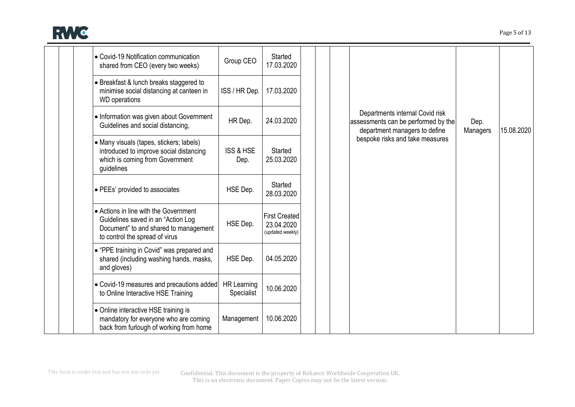

| • Covid-19 Notification communication<br>shared from CEO (every two weeks)                                                                             | Group CEO                        | Started<br>17.03.2020                                  |  |                                                                                                         |                  |            |
|--------------------------------------------------------------------------------------------------------------------------------------------------------|----------------------------------|--------------------------------------------------------|--|---------------------------------------------------------------------------------------------------------|------------------|------------|
| • Breakfast & lunch breaks staggered to<br>minimise social distancing at canteen in<br><b>WD</b> operations                                            | ISS / HR Dep.                    | 17.03.2020                                             |  |                                                                                                         |                  |            |
| • Information was given about Government<br>Guidelines and social distancing,                                                                          | HR Dep.                          | 24.03.2020                                             |  | Departments internal Covid risk<br>assessments can be performed by the<br>department managers to define | Dep.<br>Managers | 15.08.2020 |
| • Many visuals (tapes, stickers; labels)<br>introduced to improve social distancing<br>which is coming from Government<br>guidelines                   | <b>ISS &amp; HSE</b><br>Dep.     | Started<br>25.03.2020                                  |  | bespoke risks and take measures                                                                         |                  |            |
| • PEEs' provided to associates                                                                                                                         | HSE Dep.                         | Started<br>28.03.2020                                  |  |                                                                                                         |                  |            |
| • Actions in line with the Government<br>Guidelines saved in an "Action Log<br>Document" to and shared to management<br>to control the spread of virus | HSE Dep.                         | <b>First Created</b><br>23.04.2020<br>(updated weekly) |  |                                                                                                         |                  |            |
| • "PPE training in Covid" was prepared and<br>shared (including washing hands, masks,<br>and gloves)                                                   | HSE Dep.                         | 04.05.2020                                             |  |                                                                                                         |                  |            |
| • Covid-19 measures and precautions added<br>to Online Interactive HSE Training                                                                        | <b>HR Learning</b><br>Specialist | 10.06.2020                                             |  |                                                                                                         |                  |            |
| • Online interactive HSE training is<br>mandatory for everyone who are coming<br>back from furlough of working from home                               | Management                       | 10.06.2020                                             |  |                                                                                                         |                  |            |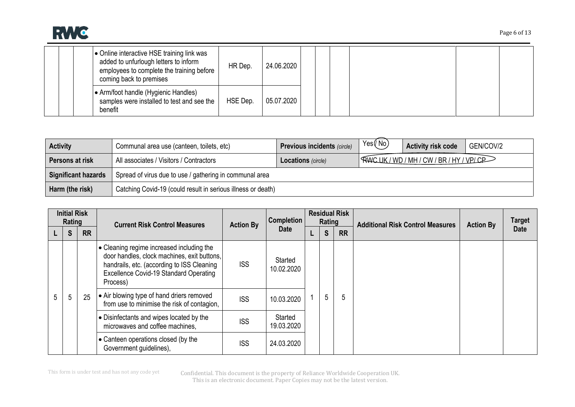

| • Online interactive HSE training link was<br>added to unfurlough letters to inform<br>24.06.2020<br>HR Dep.<br>employees to complete the training before<br>coming back to premises |
|--------------------------------------------------------------------------------------------------------------------------------------------------------------------------------------|
| ● Arm/foot handle (Hygienic Handles)<br>05.07.2020<br>HSE Dep.<br>samples were installed to test and see the<br>benefit                                                              |

| <b>Activity</b>            | Communal area use (canteen, toilets, etc)                    | <b>Previous incidents (circle)</b> | Yes(No) | <b>Activity risk code</b>  | GEN/COV/2 |
|----------------------------|--------------------------------------------------------------|------------------------------------|---------|----------------------------|-----------|
| Persons at risk            | All associates / Visitors / Contractors                      | <b>Locations</b> (circle)          |         | RWCUK/WD/MH/CW/BR/HY/VPLCP |           |
| <b>Significant hazards</b> | Spread of virus due to use / gathering in communal area      |                                    |         |                            |           |
| Harm (the risk)            | Catching Covid-19 (could result in serious illness or death) |                                    |         |                            |           |

|   | <b>Initial Risk</b><br>Rating |           | <b>Current Risk Control Measures</b>                                                                                                                                                         | <b>Action By</b> | <b>Completion</b>     | Rating | <b>Residual Risk</b> | <b>Additional Risk Control Measures</b> | <b>Action By</b> | <b>Target</b> |
|---|-------------------------------|-----------|----------------------------------------------------------------------------------------------------------------------------------------------------------------------------------------------|------------------|-----------------------|--------|----------------------|-----------------------------------------|------------------|---------------|
|   | S                             | <b>RR</b> |                                                                                                                                                                                              |                  | <b>Date</b>           | S      | <b>RR</b>            |                                         |                  | <b>Date</b>   |
|   |                               |           | • Cleaning regime increased including the<br>door handles, clock machines, exit buttons,<br>handrails, etc. (according to ISS Cleaning<br>Excellence Covid-19 Standard Operating<br>Process) | <b>ISS</b>       | Started<br>10.02.2020 |        |                      |                                         |                  |               |
| 5 | 5                             | 25        | • Air blowing type of hand driers removed<br>from use to minimise the risk of contagion,                                                                                                     | <b>ISS</b>       | 10.03.2020            | 5      | 5                    |                                         |                  |               |
|   |                               |           | • Disinfectants and wipes located by the<br>microwaves and coffee machines,                                                                                                                  | <b>ISS</b>       | Started<br>19.03.2020 |        |                      |                                         |                  |               |
|   |                               |           | • Canteen operations closed (by the<br>Government guidelines),                                                                                                                               | <b>ISS</b>       | 24.03.2020            |        |                      |                                         |                  |               |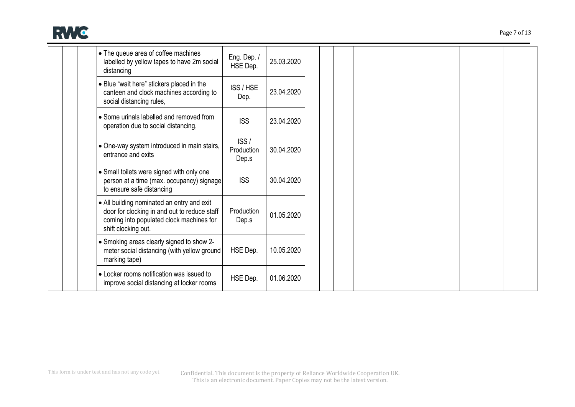

| • The queue area of coffee machines<br>labelled by yellow tapes to have 2m social<br>distancing                                                               | Eng. Dep. /<br>HSE Dep.     | 25.03.2020 |
|---------------------------------------------------------------------------------------------------------------------------------------------------------------|-----------------------------|------------|
| • Blue "wait here" stickers placed in the<br>canteen and clock machines according to<br>social distancing rules,                                              | ISS / HSE<br>Dep.           | 23.04.2020 |
| • Some urinals labelled and removed from<br>operation due to social distancing,                                                                               | <b>ISS</b>                  | 23.04.2020 |
| • One-way system introduced in main stairs,<br>entrance and exits                                                                                             | ISS/<br>Production<br>Dep.s | 30.04.2020 |
| • Small toilets were signed with only one<br>person at a time (max. occupancy) signage<br>to ensure safe distancing                                           | <b>ISS</b>                  | 30.04.2020 |
| • All building nominated an entry and exit<br>door for clocking in and out to reduce staff<br>coming into populated clock machines for<br>shift clocking out. | Production<br>Dep.s         | 01.05.2020 |
| • Smoking areas clearly signed to show 2-<br>meter social distancing (with yellow ground<br>marking tape)                                                     | HSE Dep.                    | 10.05.2020 |
| • Locker rooms notification was issued to<br>improve social distancing at locker rooms                                                                        | HSE Dep.                    | 01.06.2020 |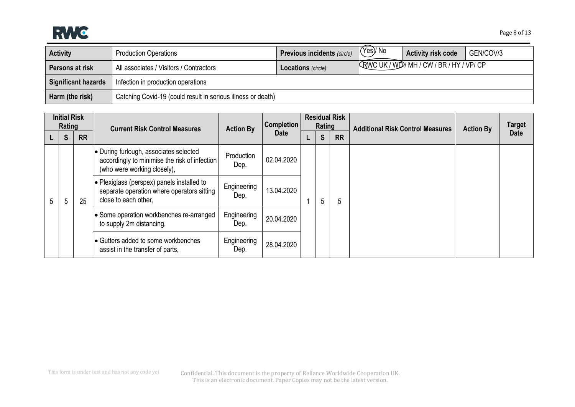

| <b>Activity</b>     | <b>Production Operations</b>                                 | <b>Previous incidents (circle)</b> | $(\forall$ es $)$ / No | <b>Activity risk code</b>                 | GEN/COV/3 |  |  |  |
|---------------------|--------------------------------------------------------------|------------------------------------|------------------------|-------------------------------------------|-----------|--|--|--|
| Persons at risk     | All associates / Visitors / Contractors                      | <b>Locations</b> (circle)          |                        | KRWC UK / WD / MH / CW / BR / HY / VP/ CP |           |  |  |  |
| Significant hazards | Infection in production operations                           |                                    |                        |                                           |           |  |  |  |
| Harm (the risk)     | Catching Covid-19 (could result in serious illness or death) |                                    |                        |                                           |           |  |  |  |

|   | <b>Initial Risk</b><br>Rating |           | <b>Current Risk Control Measures</b>                                                                                   | <b>Action By</b>    | Completion  |  | Rating | <b>Residual Risk</b> | <b>Additional Risk Control Measures</b> | <b>Action By</b> | <b>Target</b> |
|---|-------------------------------|-----------|------------------------------------------------------------------------------------------------------------------------|---------------------|-------------|--|--------|----------------------|-----------------------------------------|------------------|---------------|
|   | S                             | <b>RR</b> |                                                                                                                        |                     | <b>Date</b> |  | S      | <b>RR</b>            |                                         |                  | <b>Date</b>   |
|   |                               |           | • During furlough, associates selected<br>accordingly to minimise the risk of infection<br>(who were working closely), | Production<br>Dep.  | 02.04.2020  |  |        |                      |                                         |                  |               |
| 5 | ა                             | 25        | • Plexiglass (perspex) panels installed to<br>separate operation where operators sitting<br>close to each other,       | Engineering<br>Dep. | 13.04.2020  |  | 5      | 5                    |                                         |                  |               |
|   |                               |           | • Some operation workbenches re-arranged<br>to supply 2m distancing,                                                   | Engineering<br>Dep. | 20.04.2020  |  |        |                      |                                         |                  |               |
|   |                               |           | Gutters added to some workbenches<br>assist in the transfer of parts,                                                  | Engineering<br>Dep. | 28.04.2020  |  |        |                      |                                         |                  |               |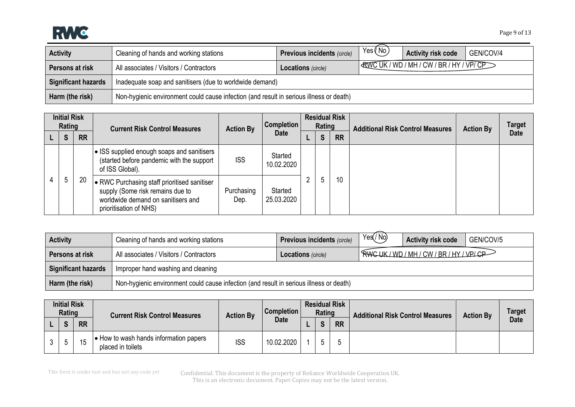

| <b>Activity</b>            | Cleaning of hands and working stations                                                  | <b>Previous incidents (circle)</b> | Yes(No) | <b>Activity risk code</b>                          | GEN/COV/4 |  |  |  |  |
|----------------------------|-----------------------------------------------------------------------------------------|------------------------------------|---------|----------------------------------------------------|-----------|--|--|--|--|
| Persons at risk            | All associates / Visitors / Contractors                                                 | <b>Locations</b> (circle)          |         | $\sqrt{$ & WC UK / WD / MH / CW / BR / HY / VP/ CP |           |  |  |  |  |
| <b>Significant hazards</b> | Inadequate soap and sanitisers (due to worldwide demand)                                |                                    |         |                                                    |           |  |  |  |  |
| Harm (the risk)            | Non-hygienic environment could cause infection (and result in serious illness or death) |                                    |         |                                                    |           |  |  |  |  |

| <b>Initial Risk</b><br>Rating |   |           | <b>Current Risk Control Measures</b>                                                                                                             | <b>Action By</b>   | <b>Completion</b>     | <b>Residual Risk</b><br>Rating |   |           | <b>Additional Risk Control Measures</b> | <b>Action By</b> | <b>Target</b> |
|-------------------------------|---|-----------|--------------------------------------------------------------------------------------------------------------------------------------------------|--------------------|-----------------------|--------------------------------|---|-----------|-----------------------------------------|------------------|---------------|
|                               | S | <b>RR</b> |                                                                                                                                                  |                    | <b>Date</b>           |                                | S | <b>RR</b> |                                         |                  | <b>Date</b>   |
|                               |   |           | • ISS supplied enough soaps and sanitisers<br>(started before pandemic with the support<br>of ISS Global).                                       | <b>ISS</b>         | Started<br>10.02.2020 |                                | ა |           |                                         |                  |               |
|                               | 5 | 20        | • RWC Purchasing staff prioritised sanitiser<br>supply (Some risk remains due to<br>worldwide demand on sanitisers and<br>prioritisation of NHS) | Purchasing<br>Dep. | Started<br>25.03.2020 |                                |   | 10        |                                         |                  |               |

| <b>Activity</b>            | Cleaning of hands and working stations                                                  | <b>Previous incidents (circle)</b> | Yes/No) | <b>Activity risk code</b>                 | GEN/COV/5 |  |  |  |  |
|----------------------------|-----------------------------------------------------------------------------------------|------------------------------------|---------|-------------------------------------------|-----------|--|--|--|--|
| Persons at risk            | All associates / Visitors / Contractors                                                 | <b>Locations</b> (circle)          |         | ' RWC UK / WD / MH / CW / BR / HY / VP/CP |           |  |  |  |  |
| <b>Significant hazards</b> | Improper hand washing and cleaning                                                      |                                    |         |                                           |           |  |  |  |  |
| Harm (the risk)            | Non-hygienic environment could cause infection (and result in serious illness or death) |                                    |         |                                           |           |  |  |  |  |

| <b>Initial Risk</b><br>Rating |           | <b>Current Risk Control Measures</b>                      | <b>Action By</b> | <b>Completion</b> | Rating | <b>Residual Risk</b> | <b>Additional Risk Control Measures</b> | <b>Action By</b> | <b>Target</b> |
|-------------------------------|-----------|-----------------------------------------------------------|------------------|-------------------|--------|----------------------|-----------------------------------------|------------------|---------------|
| $\epsilon$                    | <b>RR</b> |                                                           |                  | Date              | e      | <b>RR</b>            |                                         |                  | <b>Date</b>   |
| .5                            | 15        | How to wash hands information papers<br>placed in toilets | <b>ISS</b>       | 10.02.2020        |        |                      |                                         |                  |               |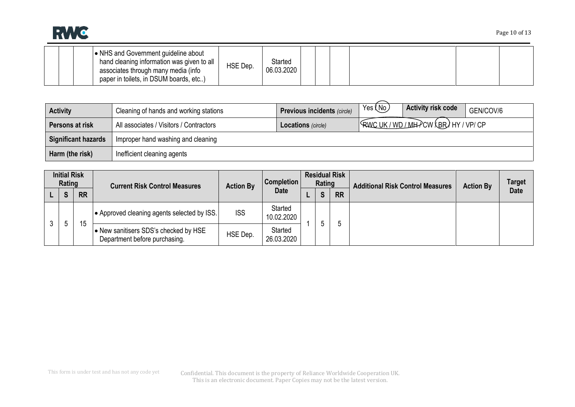

|  | ↓ NHS and Government guideline about<br>hand cleaning information was given to all<br>associates through many media (info<br>paper in toilets, in DSUM boards, etc) | HSE Dep. | Started<br>06.03.2020 |  |  |  |  |  |  |
|--|---------------------------------------------------------------------------------------------------------------------------------------------------------------------|----------|-----------------------|--|--|--|--|--|--|
|--|---------------------------------------------------------------------------------------------------------------------------------------------------------------------|----------|-----------------------|--|--|--|--|--|--|

| <b>Activity</b>            | Cleaning of hands and working stations  | <b>Previous incidents (circle)</b> | Yes (No) | <b>Activity risk code</b>     | GEN/COV/6 |
|----------------------------|-----------------------------------------|------------------------------------|----------|-------------------------------|-----------|
| Persons at risk            | All associates / Visitors / Contractors | <b>Locations</b> (circle)          |          | RWC UK/WD/MHPCW (BR) HY/VP/CP |           |
| <b>Significant hazards</b> | Improper hand washing and cleaning      |                                    |          |                               |           |
| Harm (the risk)            | Inefficient cleaning agents             |                                    |          |                               |           |

|   | <b>Initial Risk</b><br>Rating |           | <b>Current Risk Control Measures</b>                                   | <b>Action By</b> | <b>Completion</b>     | <b>Residual Risk</b><br>Rating |            |           | <b>Additional Risk Control Measures</b> | <b>Action By</b> | <b>Target</b> |
|---|-------------------------------|-----------|------------------------------------------------------------------------|------------------|-----------------------|--------------------------------|------------|-----------|-----------------------------------------|------------------|---------------|
|   | $\mathbf{C}$<br>P             | <b>RR</b> |                                                                        |                  | <b>Date</b>           |                                | $\epsilon$ | <b>RR</b> |                                         |                  | <b>Date</b>   |
|   |                               |           | Approved cleaning agents selected by ISS.                              | <b>ISS</b>       | Started<br>10.02.2020 |                                |            |           |                                         |                  |               |
| 3 |                               | 15        | • New sanitisers SDS's checked by HSE<br>Department before purchasing. | HSE Dep.         | Started<br>26.03.2020 |                                |            | b         |                                         |                  |               |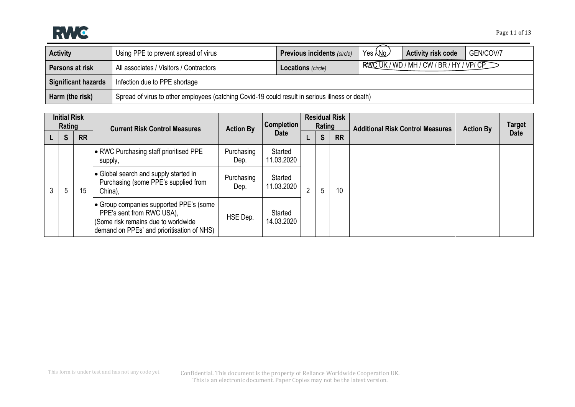

| <b>Activity</b>            | Using PPE to prevent spread of virus                                                            | <b>Previous incidents (circle)</b> | Yes <i>N</i> o | <b>Activity risk code</b>                  | GEN/COV/7 |  |  |  |  |  |
|----------------------------|-------------------------------------------------------------------------------------------------|------------------------------------|----------------|--------------------------------------------|-----------|--|--|--|--|--|
| Persons at risk            | All associates / Visitors / Contractors                                                         | <b>Locations</b> (circle)          |                | RAZIC UK / WD / MH / CW / BR / HY / VP/ CP |           |  |  |  |  |  |
| <b>Significant hazards</b> | Infection due to PPE shortage                                                                   |                                    |                |                                            |           |  |  |  |  |  |
| Harm (the risk)            | Spread of virus to other employees (catching Covid-19 could result in serious illness or death) |                                    |                |                                            |           |  |  |  |  |  |

|   | <b>Initial Risk</b><br>Rating |           | <b>Current Risk Control Measures</b>                                                                                                                      | <b>Action By</b>   | Completion            |                | Rating | <b>Residual Risk</b> | <b>Additional Risk Control Measures</b> | <b>Action By</b> | <b>Target</b> |
|---|-------------------------------|-----------|-----------------------------------------------------------------------------------------------------------------------------------------------------------|--------------------|-----------------------|----------------|--------|----------------------|-----------------------------------------|------------------|---------------|
|   | S                             | <b>RR</b> |                                                                                                                                                           |                    | <b>Date</b>           |                | S      | <b>RR</b>            |                                         |                  | <b>Date</b>   |
|   |                               |           | • RWC Purchasing staff prioritised PPE<br>supply,                                                                                                         | Purchasing<br>Dep. | Started<br>11.03.2020 |                |        |                      |                                         |                  |               |
| 3 | 5                             | 15        | • Global search and supply started in<br>Purchasing (some PPE's supplied from<br>China),                                                                  | Purchasing<br>Dep. | Started<br>11.03.2020 | $\overline{2}$ | 5      | 10                   |                                         |                  |               |
|   |                               |           | • Group companies supported PPE's (some<br>PPE's sent from RWC USA),<br>(Some risk remains due to worldwide<br>demand on PPEs' and prioritisation of NHS) | HSE Dep.           | Started<br>14.03.2020 |                |        |                      |                                         |                  |               |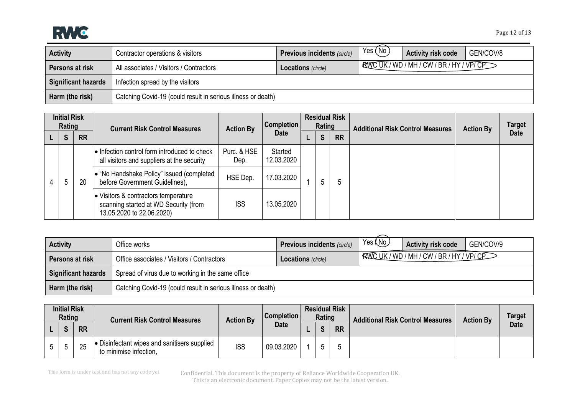

| <b>Activity</b>            | Contractor operations & visitors                             | <b>Previous incidents (circle)</b> | Yes $($ No $)$ | <b>Activity risk code</b>  | GEN/COV/8 |  |  |  |
|----------------------------|--------------------------------------------------------------|------------------------------------|----------------|----------------------------|-----------|--|--|--|
| Persons at risk            | All associates / Visitors / Contractors                      | <b>Locations</b> (circle)          |                | RWCUK/WD/MH/CW/BR/HY/VP/CP |           |  |  |  |
| <b>Significant hazards</b> | Infection spread by the visitors                             |                                    |                |                            |           |  |  |  |
| Harm (the risk)            | Catching Covid-19 (could result in serious illness or death) |                                    |                |                            |           |  |  |  |

| <b>Initial Risk</b><br>Rating |   |           | <b>Current Risk Control Measures</b>                                                                       | <b>Action By</b>    | Completion            | <b>Residual Risk</b><br>Rating |   |           | <b>Additional Risk Control Measures</b> | <b>Action By</b> | <b>Target</b> |
|-------------------------------|---|-----------|------------------------------------------------------------------------------------------------------------|---------------------|-----------------------|--------------------------------|---|-----------|-----------------------------------------|------------------|---------------|
|                               | S | <b>RR</b> |                                                                                                            |                     | <b>Date</b>           |                                | S | <b>RR</b> |                                         |                  | <b>Date</b>   |
|                               |   | 20        | • Infection control form introduced to check<br>all visitors and suppliers at the security                 | Purc. & HSE<br>Dep. | Started<br>12.03.2020 |                                |   |           |                                         |                  |               |
|                               | ა |           | • "No Handshake Policy" issued (completed<br>before Government Guidelines),                                | HSE Dep.            | 17.03.2020            |                                | ა | ა         |                                         |                  |               |
|                               |   |           | • Visitors & contractors temperature<br>scanning started at WD Security (from<br>13.05.2020 to 22.06.2020) | <b>ISS</b>          | 13.05.2020            |                                |   |           |                                         |                  |               |

| <b>Activity</b>            | Office works                                                 | <b>Previous incidents (circle)</b> | Yes (No) | <b>Activity risk code</b>                | GEN/COV/9 |  |  |  |  |
|----------------------------|--------------------------------------------------------------|------------------------------------|----------|------------------------------------------|-----------|--|--|--|--|
| Persons at risk            | Office associates / Visitors / Contractors                   | <b>Locations</b> (circle)          |          | RWC UK / WD / MH / CW / BR / HY / VP/ CP |           |  |  |  |  |
| <b>Significant hazards</b> | Spread of virus due to working in the same office            |                                    |          |                                          |           |  |  |  |  |
| Harm (the risk)            | Catching Covid-19 (could result in serious illness or death) |                                    |          |                                          |           |  |  |  |  |

| <b>Initial Risk</b><br>Rating |              |           | <b>Current Risk Control Measures</b>                                 | <b>Action By</b> | <b>Completion</b> | <b>Residual Risk</b><br>Rating |              |           | <b>Additional Risk Control Measures</b> | <b>Action By</b> | <b>Target</b> |
|-------------------------------|--------------|-----------|----------------------------------------------------------------------|------------------|-------------------|--------------------------------|--------------|-----------|-----------------------------------------|------------------|---------------|
|                               | $\mathbf{c}$ | <b>RR</b> |                                                                      |                  | <b>Date</b>       |                                | $\mathbf{C}$ | <b>RR</b> |                                         |                  | <b>Date</b>   |
|                               |              | 25        | Disinfectant wipes and sanitisers supplied<br>to minimise infection, | <b>ISS</b>       | 09.03.2020        |                                | c            |           |                                         |                  |               |

This form is under test and has not any code yet

Confidential. This document is the property of Reliance Worldwide Cooperation UK. This is an electronic document. Paper Copies may not be the latest version.